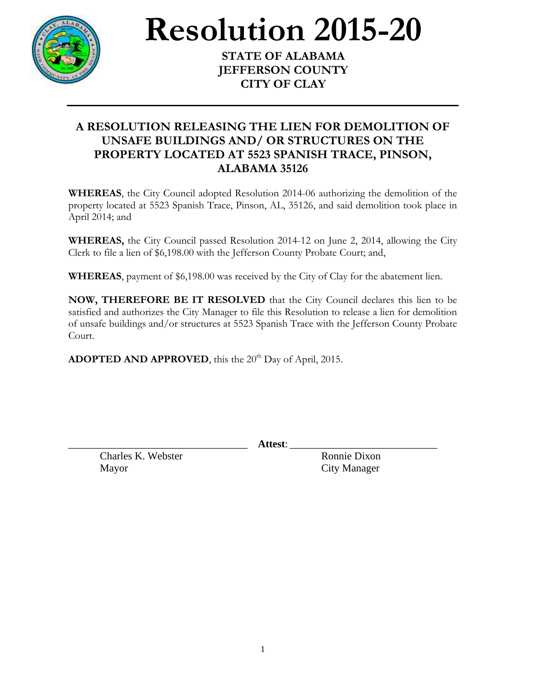

## **Resolution 2015-20**

**STATE OF ALABAMA JEFFERSON COUNTY CITY OF CLAY**

## **A RESOLUTION RELEASING THE LIEN FOR DEMOLITION OF UNSAFE BUILDINGS AND/ OR STRUCTURES ON THE PROPERTY LOCATED AT 5523 SPANISH TRACE, PINSON, ALABAMA 35126**

**WHEREAS**, the City Council adopted Resolution 2014-06 authorizing the demolition of the property located at 5523 Spanish Trace, Pinson, AL, 35126, and said demolition took place in April 2014; and

**WHEREAS,** the City Council passed Resolution 2014-12 on June 2, 2014, allowing the City Clerk to file a lien of \$6,198.00 with the Jefferson County Probate Court; and,

**WHEREAS**, payment of \$6,198.00 was received by the City of Clay for the abatement lien.

**NOW, THEREFORE BE IT RESOLVED** that the City Council declares this lien to be satisfied and authorizes the City Manager to file this Resolution to release a lien for demolition of unsafe buildings and/or structures at 5523 Spanish Trace with the Jefferson County Probate Court.

ADOPTED AND APPROVED, this the 20<sup>th</sup> Day of April, 2015.

\_\_\_\_\_\_\_\_\_\_\_\_\_\_\_\_\_\_\_\_\_\_\_\_\_\_\_\_\_\_\_\_\_\_ **Attest**: \_\_\_\_\_\_\_\_\_\_\_\_\_\_\_\_\_\_\_\_\_\_\_\_\_\_\_\_

Charles K. Webster Ronnie Dixon Mayor City Manager